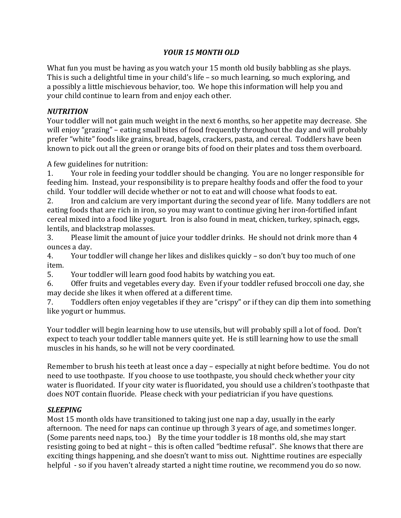# *YOUR 15 MONTH OLD*

What fun you must be having as you watch your 15 month old busily babbling as she plays. This is such a delightful time in your child's life  $-$  so much learning, so much exploring, and a possibly a little mischievous behavior, too. We hope this information will help you and your child continue to learn from and enjoy each other.

# *NUTRITION*

Your toddler will not gain much weight in the next 6 months, so her appetite may decrease. She will enjoy "grazing" – eating small bites of food frequently throughout the day and will probably prefer "white" foods like grains, bread, bagels, crackers, pasta, and cereal. Toddlers have been known to pick out all the green or orange bits of food on their plates and toss them overboard.

A few guidelines for nutrition:

1. Your role in feeding your toddler should be changing. You are no longer responsible for feeding him. Instead, your responsibility is to prepare healthy foods and offer the food to your child. Your toddler will decide whether or not to eat and will choose what foods to eat.

2. Iron and calcium are very important during the second year of life. Many toddlers are not eating foods that are rich in iron, so you may want to continue giving her iron-fortified infant cereal mixed into a food like yogurt. Iron is also found in meat, chicken, turkey, spinach, eggs, lentils, and blackstrap molasses.

3. Please limit the amount of juice your toddler drinks. He should not drink more than 4 ounces a day.

4. Your toddler will change her likes and dislikes quickly – so don't buy too much of one item.

5. Your toddler will learn good food habits by watching you eat.

6. Offer fruits and vegetables every day. Even if your toddler refused broccoli one day, she may decide she likes it when offered at a different time.

7. Toddlers often enjoy vegetables if they are "crispy" or if they can dip them into something like yogurt or hummus.

Your toddler will begin learning how to use utensils, but will probably spill a lot of food. Don't expect to teach your toddler table manners quite yet. He is still learning how to use the small muscles in his hands, so he will not be very coordinated.

Remember to brush his teeth at least once a day – especially at night before bedtime. You do not need to use toothpaste. If you choose to use toothpaste, you should check whether your city water is fluoridated. If your city water is fluoridated, you should use a children's toothpaste that does NOT contain fluoride. Please check with your pediatrician if you have questions.

# *SLEEPING*

Most 15 month olds have transitioned to taking just one nap a day, usually in the early afternoon. The need for naps can continue up through 3 years of age, and sometimes longer. (Some parents need naps, too.) By the time your toddler is 18 months old, she may start resisting going to bed at night – this is often called "bedtime refusal". She knows that there are exciting things happening, and she doesn't want to miss out. Nighttime routines are especially helpful - so if you haven't already started a night time routine, we recommend you do so now.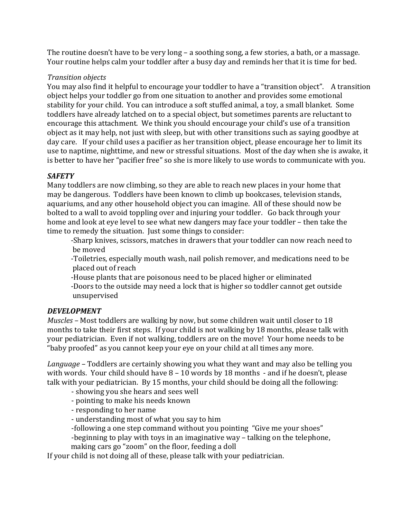The routine doesn't have to be very long – a soothing song, a few stories, a bath, or a massage. Your routine helps calm your toddler after a busy day and reminds her that it is time for bed.

# *Transition objects*

You may also find it helpful to encourage your toddler to have a "transition object". A transition object helps your toddler go from one situation to another and provides some emotional stability for your child. You can introduce a soft stuffed animal, a toy, a small blanket. Some toddlers have already latched on to a special object, but sometimes parents are reluctant to encourage this attachment. We think you should encourage your child's use of a transition object as it may help, not just with sleep, but with other transitions such as saying goodbye at day care. If your child uses a pacifier as her transition object, please encourage her to limit its use to naptime, nighttime, and new or stressful situations. Most of the day when she is awake, it is better to have her "pacifier free" so she is more likely to use words to communicate with you.

### *SAFETY*

Many toddlers are now climbing, so they are able to reach new places in your home that may be dangerous. Toddlers have been known to climb up bookcases, television stands, aquariums, and any other household object you can imagine. All of these should now be bolted to a wall to avoid toppling over and injuring your toddler. Go back through your home and look at eye level to see what new dangers may face your toddler – then take the time to remedy the situation. Just some things to consider:

-Sharp knives, scissors, matches in drawers that your toddler can now reach need to be moved

-Toiletries, especially mouth wash, nail polish remover, and medications need to be placed out of reach

-House plants that are poisonous need to be placed higher or eliminated

-Doors to the outside may need a lock that is higher so toddler cannot get outside unsupervised

#### *DEVELOPMENT*

*Muscles* – Most toddlers are walking by now, but some children wait until closer to 18 months to take their first steps. If your child is not walking by 18 months, please talk with your pediatrician. Even if not walking, toddlers are on the move! Your home needs to be "baby proofed" as you cannot keep your eye on your child at all times any more.

*Language* – Toddlers are certainly showing you what they want and may also be telling you with words. Your child should have  $8 - 10$  words by 18 months  $-$  and if he doesn't, please talk with your pediatrician. By 15 months, your child should be doing all the following:

- showing you she hears and sees well
- pointing to make his needs known
- responding to her name
- understanding most of what you say to him
- -following a one step command without you pointing "Give me your shoes"

-beginning to play with toys in an imaginative way – talking on the telephone, making cars go "zoom" on the floor, feeding a doll

If your child is not doing all of these, please talk with your pediatrician.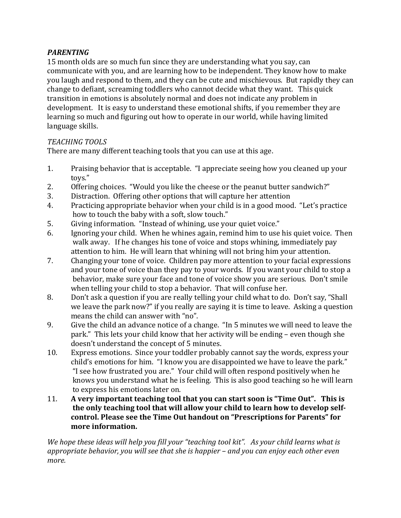# *PARENTING*

15 month olds are so much fun since they are understanding what you say, can communicate with you, and are learning how to be independent. They know how to make you laugh and respond to them, and they can be cute and mischievous. But rapidly they can change to defiant, screaming toddlers who cannot decide what they want. This quick transition in emotions is absolutely normal and does not indicate any problem in development. It is easy to understand these emotional shifts, if you remember they are learning so much and figuring out how to operate in our world, while having limited language skills.

### *TEACHING TOOLS*

There are many different teaching tools that you can use at this age.

- 1. Praising behavior that is acceptable. "I appreciate seeing how you cleaned up your toys."
- 2. Offering choices. "Would you like the cheese or the peanut butter sandwich?"
- 3. Distraction. Offering other options that will capture her attention
- 4. Practicing appropriate behavior when your child is in a good mood. "Let's practice how to touch the baby with a soft, slow touch."
- 5. Giving information. "Instead of whining, use your quiet voice."
- 6. Ignoring your child. When he whines again, remind him to use his quiet voice. Then walk away. If he changes his tone of voice and stops whining, immediately pay attention to him. He will learn that whining will not bring him your attention.
- 7. Changing your tone of voice. Children pay more attention to your facial expressions and your tone of voice than they pay to your words. If you want your child to stop a behavior, make sure your face and tone of voice show you are serious. Don't smile when telling your child to stop a behavior. That will confuse her.
- 8. Don't ask a question if you are really telling your child what to do. Don't say, "Shall we leave the park now?" if you really are saying it is time to leave. Asking a question means the child can answer with "no".
- 9. Give the child an advance notice of a change. "In 5 minutes we will need to leave the park." This lets your child know that her activity will be ending – even though she doesn't understand the concept of 5 minutes.
- 10. Express emotions. Since your toddler probably cannot say the words, express your child's emotions for him. "I know you are disappointed we have to leave the park." "I see how frustrated vou are." Your child will often respond positively when he knows you understand what he is feeling. This is also good teaching so he will learn to express his emotions later on.
- 11. A very important teaching tool that you can start soon is "Time Out". This is the only teaching tool that will allow your child to learn how to develop selfcontrol. Please see the Time Out handout on "Prescriptions for Parents" for more information.

*We hope these ideas will help you fill your "teaching tool kit". As your child learns what is* appropriate behavior, you will see that she is happier – and you can enjoy each other even *more.*